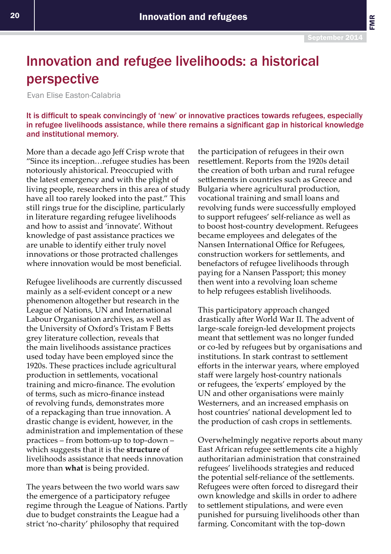FMR

## Innovation and refugee livelihoods: a historical perspective

Evan Elise Easton-Calabria

It is difficult to speak convincingly of 'new' or innovative practices towards refugees, especially in refugee livelihoods assistance, while there remains a significant gap in historical knowledge and institutional memory.

More than a decade ago Jeff Crisp wrote that "Since its inception…refugee studies has been notoriously ahistorical. Preoccupied with the latest emergency and with the plight of living people, researchers in this area of study have all too rarely looked into the past." This still rings true for the discipline, particularly in literature regarding refugee livelihoods and how to assist and 'innovate'. Without knowledge of past assistance practices we are unable to identify either truly novel innovations or those protracted challenges where innovation would be most beneficial.

Refugee livelihoods are currently discussed mainly as a self-evident concept or a new phenomenon altogether but research in the League of Nations, UN and International Labour Organisation archives, as well as the University of Oxford's Tristam F Betts grey literature collection, reveals that the main livelihoods assistance practices used today have been employed since the 1920s. These practices include agricultural production in settlements, vocational training and micro-finance. The evolution of terms, such as micro-finance instead of revolving funds, demonstrates more of a repackaging than true innovation. A drastic change is evident, however, in the administration and implementation of these practices – from bottom-up to top-down – which suggests that it is the **structure** of livelihoods assistance that needs innovation more than **what** is being provided.

The years between the two world wars saw the emergence of a participatory refugee regime through the League of Nations. Partly due to budget constraints the League had a strict 'no-charity' philosophy that required

the participation of refugees in their own resettlement. Reports from the 1920s detail the creation of both urban and rural refugee settlements in countries such as Greece and Bulgaria where agricultural production, vocational training and small loans and revolving funds were successfully employed to support refugees' self-reliance as well as to boost host-country development. Refugees became employees and delegates of the Nansen International Office for Refugees, construction workers for settlements, and benefactors of refugee livelihoods through paying for a Nansen Passport; this money then went into a revolving loan scheme to help refugees establish livelihoods.

This participatory approach changed drastically after World War II. The advent of large-scale foreign-led development projects meant that settlement was no longer funded or co-led by refugees but by organisations and institutions. In stark contrast to settlement efforts in the interwar years, where employed staff were largely host-country nationals or refugees, the 'experts' employed by the UN and other organisations were mainly Westerners, and an increased emphasis on host countries' national development led to the production of cash crops in settlements.

Overwhelmingly negative reports about many East African refugee settlements cite a highly authoritarian administration that constrained refugees' livelihoods strategies and reduced the potential self-reliance of the settlements. Refugees were often forced to disregard their own knowledge and skills in order to adhere to settlement stipulations, and were even punished for pursuing livelihoods other than farming. Concomitant with the top-down